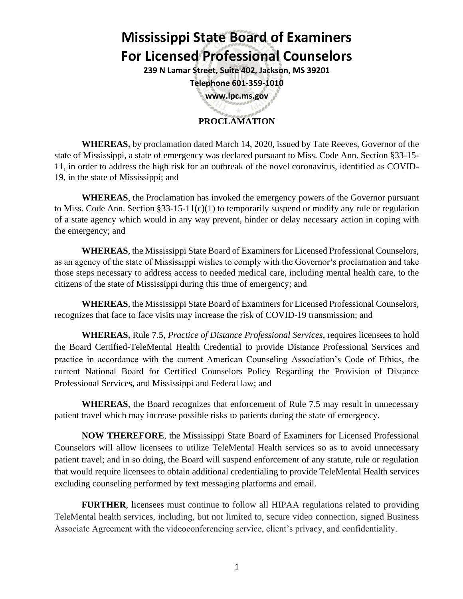## **Mississippi State Board of Examiners For Licensed Professional Counselors**

**239 N Lamar Street, Suite 402, Jackson, MS 39201 Telephone 601-359-1010**

**www.lpc.ms.gov**

## **PROCLAMATION**

**WHEREAS**, by proclamation dated March 14, 2020, issued by Tate Reeves, Governor of the state of Mississippi, a state of emergency was declared pursuant to Miss. Code Ann. Section §33-15- 11, in order to address the high risk for an outbreak of the novel coronavirus, identified as COVID-19, in the state of Mississippi; and

**WHEREAS**, the Proclamation has invoked the emergency powers of the Governor pursuant to Miss. Code Ann. Section §33-15-11(c)(1) to temporarily suspend or modify any rule or regulation of a state agency which would in any way prevent, hinder or delay necessary action in coping with the emergency; and

**WHEREAS**, the Mississippi State Board of Examiners for Licensed Professional Counselors, as an agency of the state of Mississippi wishes to comply with the Governor's proclamation and take those steps necessary to address access to needed medical care, including mental health care, to the citizens of the state of Mississippi during this time of emergency; and

**WHEREAS**, the Mississippi State Board of Examiners for Licensed Professional Counselors, recognizes that face to face visits may increase the risk of COVID-19 transmission; and

**WHEREAS**, Rule 7.5, *Practice of Distance Professional Services*, requires licensees to hold the Board Certified-TeleMental Health Credential to provide Distance Professional Services and practice in accordance with the current American Counseling Association's Code of Ethics, the current National Board for Certified Counselors Policy Regarding the Provision of Distance Professional Services, and Mississippi and Federal law; and

**WHEREAS**, the Board recognizes that enforcement of Rule 7.5 may result in unnecessary patient travel which may increase possible risks to patients during the state of emergency.

**NOW THEREFORE**, the Mississippi State Board of Examiners for Licensed Professional Counselors will allow licensees to utilize TeleMental Health services so as to avoid unnecessary patient travel; and in so doing, the Board will suspend enforcement of any statute, rule or regulation that would require licensees to obtain additional credentialing to provide TeleMental Health services excluding counseling performed by text messaging platforms and email.

**FURTHER,** licensees must continue to follow all HIPAA regulations related to providing TeleMental health services, including, but not limited to, secure video connection, signed Business Associate Agreement with the videoconferencing service, client's privacy, and confidentiality.